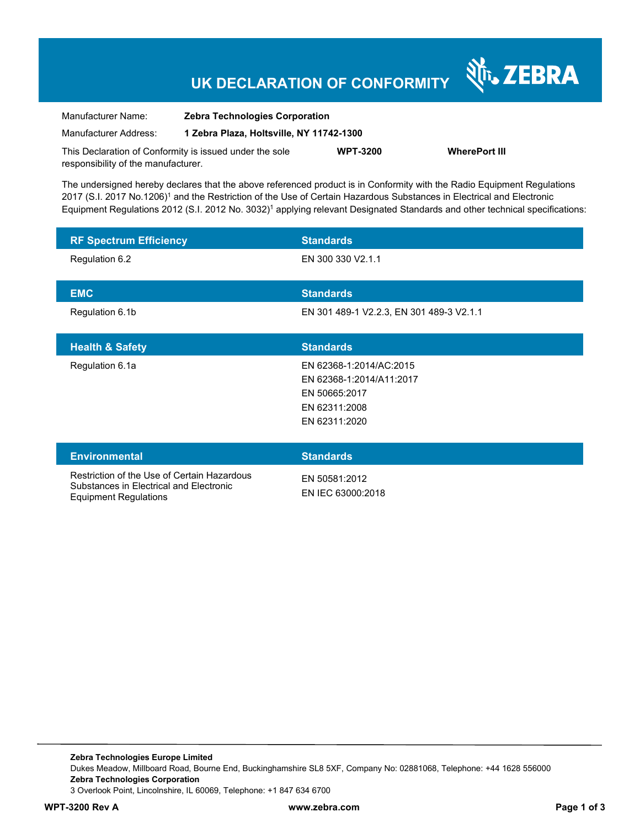## **UK DECLARATION OF CONFORMITY**

Nr. ZEBRA

| Manufacturer Name:                                      | <b>Zebra Technologies Corporation</b><br>1 Zebra Plaza, Holtsville, NY 11742-1300 |                 |                      |
|---------------------------------------------------------|-----------------------------------------------------------------------------------|-----------------|----------------------|
| Manufacturer Address:                                   |                                                                                   |                 |                      |
| This Declaration of Conformity is issued under the sole |                                                                                   | <b>WPT-3200</b> | <b>WherePort III</b> |
| responsibility of the manufacturer.                     |                                                                                   |                 |                      |

The undersigned hereby declares that the above referenced product is in Conformity with the Radio Equipment Regulations 2017 (S.I. 2017 No.1206)<sup>1</sup> and the Restriction of the Use of Certain Hazardous Substances in Electrical and Electronic Equipment Regulations 2012 (S.I. 2012 No. 3032)<sup>1</sup> applying relevant Designated Standards and other technical specifications:

| <b>RF Spectrum Efficiency</b>                                                                                          | <b>Standards</b>                                                                                       |
|------------------------------------------------------------------------------------------------------------------------|--------------------------------------------------------------------------------------------------------|
| Regulation 6.2                                                                                                         | EN 300 330 V2.1.1                                                                                      |
| <b>EMC</b>                                                                                                             | <b>Standards</b>                                                                                       |
| Regulation 6.1b                                                                                                        | EN 301 489-1 V2.2.3, EN 301 489-3 V2.1.1                                                               |
| <b>Health &amp; Safety</b>                                                                                             | <b>Standards</b>                                                                                       |
| Regulation 6.1a                                                                                                        | EN 62368-1:2014/AC:2015<br>EN 62368-1:2014/A11:2017<br>EN 50665:2017<br>EN 62311:2008<br>EN 62311:2020 |
| <b>Environmental</b>                                                                                                   | <b>Standards</b>                                                                                       |
| Restriction of the Use of Certain Hazardous<br>Substances in Electrical and Electronic<br><b>Equipment Regulations</b> | EN 50581:2012<br>EN IEC 63000:2018                                                                     |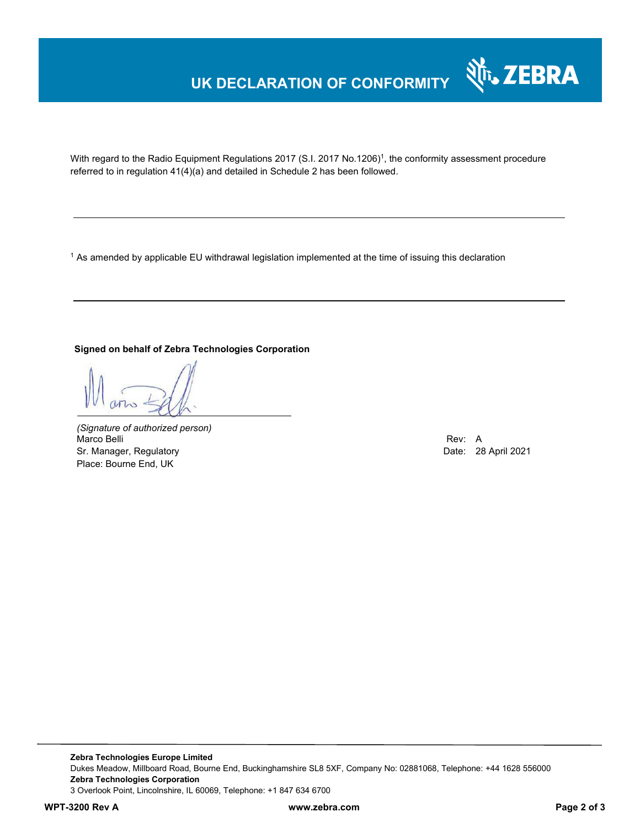### **UK DECLARATION OF CONFORMITY**



With regard to the Radio Equipment Regulations 2017 (S.I. 2017 No.1206)<sup>1</sup>, the conformity assessment procedure referred to in regulation 41(4)(a) and detailed in Schedule 2 has been followed.

1 As amended by applicable EU withdrawal legislation implemented at the time of issuing this declaration

#### **Signed on behalf of Zebra Technologies Corporation**

*(Signature of authorized person)* Marco Belli Rev: A Alexander Communication of the Communication of the Communication of the Communication of the Communication of the Communication of the Communication of the Communication of the Communication of the Comm Sr. Manager, Regulatory **Date: 28 April 2021** Place: Bourne End, UK